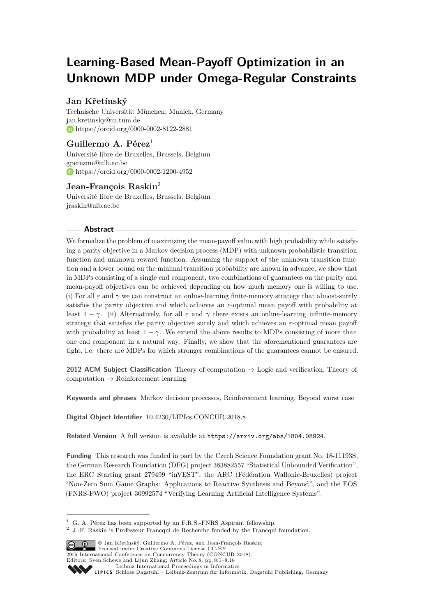# **Learning-Based Mean-Payoff Optimization in an Unknown MDP under Omega-Regular Constraints**

# **Jan Křetínský**

Technische Universität München, Munich, Germany [jan.kretinsky@in.tum.de](mailto:jan.kretinsky@in.tum.de) <https://orcid.org/0000-0002-8122-2881>

# **Guillermo A. Pérez**<sup>1</sup>

Université libre de Bruxelles, Brussels, Belgium [gperezme@ulb.ac.be](mailto:gperezme@ulb.ac.be) <https://orcid.org/0000-0002-1200-4952>

# **Jean-François Raskin**<sup>2</sup>

Université libre de Bruxelles, Brussels, Belgium [jraskin@ulb.ac.be](mailto:jraskin@ulb.ac.be)

## **Abstract**

We formalize the problem of maximizing the mean-payoff value with high probability while satisfying a parity objective in a Markov decision process (MDP) with unknown probabilistic transition function and unknown reward function. Assuming the support of the unknown transition function and a lower bound on the minimal transition probability are known in advance, we show that in MDPs consisting of a single end component, two combinations of guarantees on the parity and mean-payoff objectives can be achieved depending on how much memory one is willing to use. (i) For all  $\varepsilon$  and  $\gamma$  we can construct an online-learning finite-memory strategy that almost-surely satisfies the parity objective and which achieves an *ε*-optimal mean payoff with probability at least  $1 - \gamma$ . (ii) Alternatively, for all  $\varepsilon$  and  $\gamma$  there exists an online-learning infinite-memory strategy that satisfies the parity objective surely and which achieves an *ε*-optimal mean payoff with probability at least  $1 - \gamma$ . We extend the above results to MDPs consisting of more than one end component in a natural way. Finally, we show that the aforementioned guarantees are tight, i.e. there are MDPs for which stronger combinations of the guarantees cannot be ensured.

**2012 ACM Subject Classification** Theory of computation → Logic and verification, Theory of computation  $\rightarrow$  Reinforcement learning

**Keywords and phrases** Markov decision processes, Reinforcement learning, Beyond worst case

**Digital Object Identifier** [10.4230/LIPIcs.CONCUR.2018.8](http://dx.doi.org/10.4230/LIPIcs.CONCUR.2018.8)

**Related Version** A full version is available at <https://arxiv.org/abs/1804.08924>.

**Funding** This research was funded in part by the Czech Science Foundation grant No. 18-11193S, the German Research Foundation (DFG) project 383882557 "Statistical Unbounded Verification", the ERC Starting grant 279499 "inVEST", the ARC (Fédération Wallonie-Bruxelles) project "Non-Zero Sum Game Graphs: Applications to Reactive Synthesis and Beyond", and the EOS (FNRS-FWO) project 30992574 "Verifying Learning Artificial Intelligence Systems".

 $2$  J.-F. Raskin is Professeur Francqui de Recherche funded by the Francqui foundation.



<sup>©</sup> Jan Křetínský, Guillermo A. Pérez, and Jean-François Raskin;

**29th International Conference on Concurrency Theory (CONCUR 2018).** 

Editors: Sven Schewe and Lijun Zhang; Article No. 8; pp. 8:1–8[:18](#page-17-0)

 $1$  G. A. Pérez has been supported by an F.R.S.-FNRS Aspirant fellowship.

[Leibniz International Proceedings in Informatics](http://www.dagstuhl.de/lipics/)

Leibniz international riveredings in miximetrix<br>
LIPICS [Schloss Dagstuhl – Leibniz-Zentrum für Informatik, Dagstuhl Publishing, Germany](http://www.dagstuhl.de)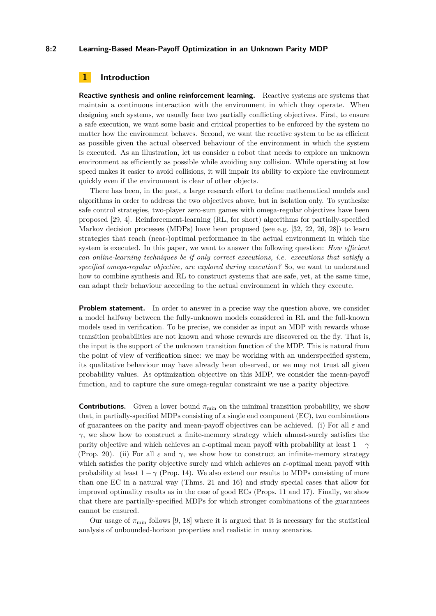#### **8:2 Learning-Based Mean-Payoff Optimization in an Unknown Parity MDP**

## **1 Introduction**

**Reactive synthesis and online reinforcement learning.** Reactive systems are systems that maintain a continuous interaction with the environment in which they operate. When designing such systems, we usually face two partially conflicting objectives. First, to ensure a safe execution, we want some basic and critical properties to be enforced by the system no matter how the environment behaves. Second, we want the reactive system to be as efficient as possible given the actual observed behaviour of the environment in which the system is executed. As an illustration, let us consider a robot that needs to explore an unknown environment as efficiently as possible while avoiding any collision. While operating at low speed makes it easier to avoid collisions, it will impair its ability to explore the environment quickly even if the environment is clear of other objects.

There has been, in the past, a large research effort to define mathematical models and algorithms in order to address the two objectives above, but in isolation only. To synthesize safe control strategies, two-player zero-sum games with omega-regular objectives have been proposed [\[29,](#page-17-1) [4\]](#page-15-0). Reinforcement-learning (RL, for short) algorithms for partially-specified Markov decision processes (MDPs) have been proposed (see e.g. [\[32,](#page-17-2) [22,](#page-16-0) [26,](#page-17-3) [28\]](#page-17-4)) to learn strategies that reach (near-)optimal performance in the actual environment in which the system is executed. In this paper, we want to answer the following question: *How efficient can online-learning techniques be if only correct executions, i.e. executions that satisfy a specified omega-regular objective, are explored during execution?* So, we want to understand how to combine synthesis and RL to construct systems that are safe, yet, at the same time, can adapt their behaviour according to the actual environment in which they execute.

**Problem statement.** In order to answer in a precise way the question above, we consider a model halfway between the fully-unknown models considered in RL and the full-known models used in verification. To be precise, we consider as input an MDP with rewards whose transition probabilities are not known and whose rewards are discovered on the fly. That is, the input is the support of the unknown transition function of the MDP. This is natural from the point of view of verification since: we may be working with an underspecified system, its qualitative behaviour may have already been observed, or we may not trust all given probability values. As optimization objective on this MDP, we consider the mean-payoff function, and to capture the sure omega-regular constraint we use a parity objective.

**Contributions.** Given a lower bound  $\pi_{\min}$  on the minimal transition probability, we show that, in partially-specified MDPs consisting of a single end component (EC), two combinations of guarantees on the parity and mean-payoff objectives can be achieved. (i) For all *ε* and *γ*, we show how to construct a finite-memory strategy which almost-surely satisfies the parity objective and which achieves an  $\varepsilon$ -optimal mean payoff with probability at least  $1 - \gamma$ (Prop. [20\)](#page-14-0). (ii) For all  $\varepsilon$  and  $\gamma$ , we show how to construct an infinite-memory strategy which satisfies the parity objective surely and which achieves an *ε*-optimal mean payoff with probability at least  $1 - \gamma$  (Prop. [14\)](#page-10-0). We also extend our results to MDPs consisting of more than one EC in a natural way (Thms. [21](#page-14-1) and [16\)](#page-11-0) and study special cases that allow for improved optimality results as in the case of good ECs (Props. [11](#page-9-0) and [17\)](#page-13-0). Finally, we show that there are partially-specified MDPs for which stronger combinations of the guarantees cannot be ensured.

Our usage of  $\pi_{\min}$  follows [\[9,](#page-15-1) [18\]](#page-16-1) where it is argued that it is necessary for the statistical analysis of unbounded-horizon properties and realistic in many scenarios.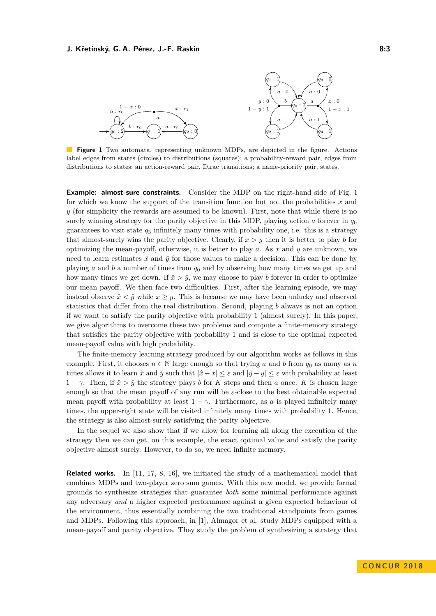<span id="page-2-0"></span>

**Figure 1** Two automata, representing unknown MDPs, are depicted in the figure. Actions label edges from states (circles) to distributions (squares); a probability-reward pair, edges from distributions to states; an action-reward pair, Dirac transitions; a name-priority pair, states.

**Example: almost-sure constraints.** Consider the MDP on the right-hand side of Fig. [1](#page-2-0) for which we know the support of the transition function but not the probabilities *x* and *y* (for simplicity the rewards are assumed to be known). First, note that while there is no surely winning strategy for the parity objective in this MDP, playing action *a* forever in  $q_0$ guarantees to visit state  $q_3$  infinitely many times with probability one, i.e. this is a strategy that almost-surely wins the parity objective. Clearly, if  $x > y$  then it is better to play *b* for optimizing the mean-payoff, otherwise, it is better to play *a*. As *x* and *y* are unknown, we need to learn estimates  $\hat{x}$  and  $\hat{y}$  for those values to make a decision. This can be done by playing *a* and *b* a number of times from *q*<sup>0</sup> and by observing how many times we get up and how many times we get down. If  $\hat{x} > \hat{y}$ , we may choose to play *b* forever in order to optimize our mean payoff. We then face two difficulties. First, after the learning episode, we may instead observe  $\hat{x} \leq \hat{y}$  while  $x \geq y$ . This is because we may have been unlucky and observed statistics that differ from the real distribution. Second, playing *b* always is not an option if we want to satisfy the parity objective with probability 1 (almost surely). In this paper, we give algorithms to overcome these two problems and compute a finite-memory strategy that satisfies the parity objective with probability 1 and is close to the optimal expected mean-payoff value with high probability.

The finite-memory learning strategy produced by our algorithm works as follows in this example. First, it chooses  $n \in \mathbb{N}$  large enough so that trying *a* and *b* from  $q_0$  as many as *n* times allows it to learn  $\hat{x}$  and  $\hat{y}$  such that  $|\hat{x} - x| \leq \varepsilon$  and  $|\hat{y} - y| \leq \varepsilon$  with probability at least  $1 - \gamma$ . Then, if  $\hat{x} > \hat{y}$  the strategy plays *b* for *K* steps and then *a* once. *K* is chosen large enough so that the mean payoff of any run will be  $\varepsilon$ -close to the best obtainable expected mean payoff with probability at least  $1 - \gamma$ . Furthermore, as *a* is played infinitely many times, the upper-right state will be visited infinitely many times with probability 1. Hence, the strategy is also almost-surely satisfying the parity objective.

In the sequel we also show that if we allow for learning all along the execution of the strategy then we can get, on this example, the exact optimal value and satisfy the parity objective almost surely. However, to do so, we need infinite memory.

**Related works.** In [\[11,](#page-15-2) [17,](#page-16-2) [8,](#page-15-3) [16\]](#page-16-3), we initiated the study of a mathematical model that combines MDPs and two-player zero sum games. With this new model, we provide formal grounds to synthesize strategies that guarantee *both* some minimal performance against any adversary *and* a higher expected performance against a given expected behaviour of the environment, thus essentially combining the two traditional standpoints from games and MDPs. Following this approach, in [\[1\]](#page-15-4), Almagor et al. study MDPs equipped with a mean-payoff and parity objective. They study the problem of synthesizing a strategy that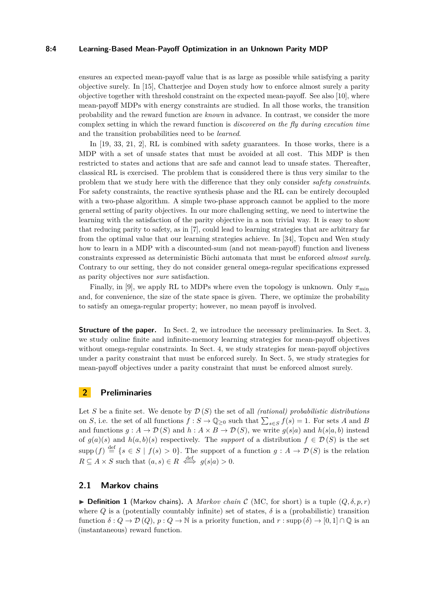#### **8:4 Learning-Based Mean-Payoff Optimization in an Unknown Parity MDP**

ensures an expected mean-payoff value that is as large as possible while satisfying a parity objective surely. In [\[15\]](#page-16-4), Chatterjee and Doyen study how to enforce almost surely a parity objective together with threshold constraint on the expected mean-payoff. See also [\[10\]](#page-15-5), where mean-payoff MDPs with energy constraints are studied. In all those works, the transition probability and the reward function are *known* in advance. In contrast, we consider the more complex setting in which the reward function is *discovered on the fly during execution time* and the transition probabilities need to be *learned*.

In [\[19,](#page-16-5) [33,](#page-17-5) [21,](#page-16-6) [2\]](#page-15-6), RL is combined with safety guarantees. In those works, there is a MDP with a set of unsafe states that must be avoided at all cost. This MDP is then restricted to states and actions that are safe and cannot lead to unsafe states. Thereafter, classical RL is exercised. The problem that is considered there is thus very similar to the problem that we study here with the difference that they only consider *safety constraints*. For safety constraints, the reactive synthesis phase and the RL can be entirely decoupled with a two-phase algorithm. A simple two-phase approach cannot be applied to the more general setting of parity objectives. In our more challenging setting, we need to intertwine the learning with the satisfaction of the parity objective in a non trivial way. It is easy to show that reducing parity to safety, as in [\[7\]](#page-15-7), could lead to learning strategies that are arbitrary far from the optimal value that our learning strategies achieve. In [\[34\]](#page-17-6), Topcu and Wen study how to learn in a MDP with a discounted-sum (and not mean-payoff) function and liveness constraints expressed as deterministic Büchi automata that must be enforced *almost surely*. Contrary to our setting, they do not consider general omega-regular specifications expressed as parity objectives nor *sure* satisfaction.

Finally, in [\[9\]](#page-15-1), we apply RL to MDPs where even the topology is unknown. Only  $\pi_{\min}$ and, for convenience, the size of the state space is given. There, we optimize the probability to satisfy an omega-regular property; however, no mean payoff is involved.

**Structure of the paper.** In Sect. 2, we introduce the necessary preliminaries. In Sect. 3, we study online finite and infinite-memory learning strategies for mean-payoff objectives without omega-regular constraints. In Sect. 4, we study strategies for mean-payoff objectives under a parity constraint that must be enforced surely. In Sect. 5, we study strategies for mean-payoff objectives under a parity constraint that must be enforced almost surely.

## **2 Preliminaries**

Let *S* be a finite set. We denote by  $\mathcal{D}(S)$  the set of all *(rational) probabilistic distributions* on *S*, i.e. the set of all functions  $f: S \to \mathbb{Q}_{\geq 0}$  such that  $\sum_{s \in S} f(s) = 1$ . For sets *A* and *B* and functions  $g : A \to \mathcal{D}(S)$  and  $h : A \times B \to \mathcal{D}(S)$ , we write  $g(s|a)$  and  $h(s|a, b)$  instead of  $g(a)(s)$  and  $h(a, b)(s)$  respectively. The *support* of a distribution  $f \in \mathcal{D}(S)$  is the set  $\text{supp}(f) \stackrel{\text{def}}{=} \{s \in S \mid f(s) > 0\}.$  The support of a function  $g: A \to \mathcal{D}(S)$  is the relation  $R \subseteq A \times S$  such that  $(a, s) \in R \iff g(s|a) > 0$ .

#### **2.1 Markov chains**

 $\triangleright$  **Definition 1** (Markov chains). A *Markov chain* C (MC, for short) is a tuple  $(Q, \delta, p, r)$ where  $Q$  is a (potentially countably infinite) set of states,  $\delta$  is a (probabilistic) transition function  $\delta: Q \to \mathcal{D}(Q), p: Q \to \mathbb{N}$  is a priority function, and  $r: \text{supp}(\delta) \to [0,1] \cap \mathbb{Q}$  is an (instantaneous) reward function.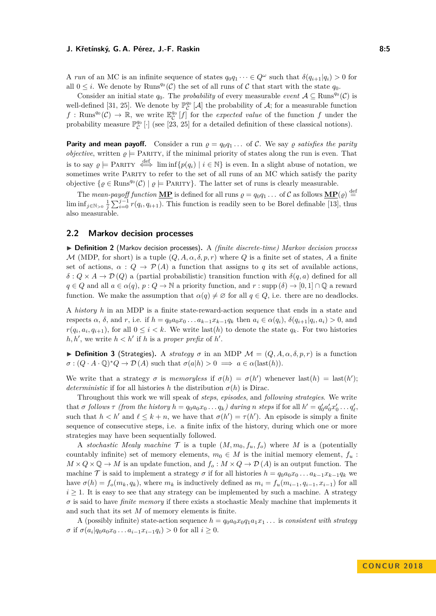A *run* of an MC is an infinite sequence of states  $q_0q_1 \cdots \in Q^\omega$  such that  $\delta(q_{i+1}|q_i) > 0$  for all  $0 \leq i$ . We denote by Runs<sup>*qo*</sup>(*C*) the set of all runs of *C* that start with the state *q*<sub>0</sub>.

Consider an initial state  $q_0$ . The *probability* of every measurable *event*  $A \subseteq \text{Runs}^{q_0}(\mathcal{C})$  is well-defined [\[31,](#page-17-7) [25\]](#page-17-8). We denote by  $\mathbb{P}^{q_0}_{\mathcal{C}}[\mathcal{A}]$  the probability of  $\mathcal{A}$ ; for a measurable function  $f: \text{Runs}^{q_0}(\mathcal{C}) \to \mathbb{R}$ , we write  $\mathbb{E}_{\mathcal{C}}^{q_0}[f]$  for the *expected value* of the function  $f$  under the probability measure  $\mathbb{P}_{\mathcal{C}}^{q_0}$  [·] (see [\[23,](#page-16-7) [25\]](#page-17-8) for a detailed definition of these classical notions).

**Parity and mean payoff.** Consider a run  $\rho = q_0 q_1 \dots$  of C. We say  $\rho$  *satisfies the parity objective*, written  $\rho \models$  PARITY, if the minimal priority of states along the run is even. That is to say  $\varrho \models$  PARITY  $\stackrel{\text{def}}{\iff}$  lim inf $\{p(q_i) \mid i \in \mathbb{N}\}$  is even. In a slight abuse of notation, we sometimes write PARITY to refer to the set of all runs of an MC which satisfy the parity objective  $\{ \varrho \in \text{Runs}^{q_0}(\mathcal{C}) \mid \varrho \models \text{PARITY}\}.$  The latter set of runs is clearly measurable.

The *mean-payoff function*  $\mathbf{MP}$  is defined for all runs  $\rho = q_0 q_1 \dots$  of C as follows  $\mathbf{MP}(\rho) \stackrel{\text{def}}{=}$  $\liminf_{j \in \mathbb{N} > 0} \frac{1}{j} \sum_{i=0}^{j-1} r(q_i, q_{i+1})$ . This function is readily seen to be Borel definable [\[13\]](#page-16-8), thus also measurable.

## **2.2 Markov decision processes**

I **Definition 2** (Markov decision processes)**.** A *(finite discrete-time) Markov decision process* M (MDP, for short) is a tuple  $(Q, A, \alpha, \delta, p, r)$  where Q is a finite set of states, A a finite set of actions,  $\alpha$  :  $Q \to \mathcal{P}(A)$  a function that assigns to q its set of available actions,  $\delta$  :  $Q \times A \rightarrow \mathcal{D}(Q)$  a (partial probabilistic) transition function with  $\delta(q, a)$  defined for all  $q \in Q$  and all  $a \in \alpha(q)$ ,  $p: Q \to \mathbb{N}$  a priority function, and  $r: supp(\delta) \to [0,1] \cap \mathbb{Q}$  a reward function. We make the assumption that  $\alpha(q) \neq \emptyset$  for all  $q \in Q$ , i.e. there are no deadlocks.

A *history h* in an MDP is a finite state-reward-action sequence that ends in a state and respects  $\alpha$ ,  $\delta$ , and r, i.e. if  $h = q_0 a_0 x_0 \dots a_{k-1} x_{k-1} q_k$  then  $a_i \in \alpha(q_i)$ ,  $\delta(q_{i+1} | q_i, a_i) > 0$ , and  $r(q_i, a_i, q_{i+1})$ , for all  $0 \leq i < k$ . We write last(*h*) to denote the state  $q_k$ . For two histories  $h, h'$ , we write  $h < h'$  if  $h$  is a *proper prefix* of  $h'$ .

**Definition 3** (Strategies). A *strategy*  $\sigma$  in an MDP  $\mathcal{M} = (Q, A, \alpha, \delta, p, r)$  is a function  $\sigma : (Q \cdot A \cdot \mathbb{Q})^* Q \to \mathcal{D}(A)$  such that  $\sigma(a|h) > 0 \implies a \in \alpha(\text{last}(h)).$ 

We write that a strategy  $\sigma$  is *memoryless* if  $\sigma(h) = \sigma(h')$  whenever last $(h) = \text{last}(h')$ ; *deterministic* if for all histories *h* the distribution  $\sigma(h)$  is Dirac.

Throughout this work we will speak of *steps*, *episodes*, and *following strategies*. We write that  $\sigma$  follows  $\tau$  (from the history  $h = q_0 a_0 x_0 \dots q_k$ ) during n steps if for all  $h' = q'_0 a'_0 x'_0 \dots q'_\ell$ , such that  $h < h'$  and  $\ell \leq k + n$ , we have that  $\sigma(h') = \tau(h')$ . An episode is simply a finite sequence of consecutive steps, i.e. a finite infix of the history, during which one or more strategies may have been sequentially followed.

A *stochastic Mealy machine*  $\mathcal T$  is a tuple  $(M, m_0, f_u, f_o)$  where M is a (potentially countably infinite) set of memory elements,  $m_0 \in M$  is the initial memory element,  $f_u$ :  $M \times Q \times Q \rightarrow M$  is an update function, and  $f_o: M \times Q \rightarrow \mathcal{D}(A)$  is an output function. The machine T is said to implement a strategy  $\sigma$  if for all histories  $h = q_0 a_0 x_0 \dots a_{k-1} x_{k-1} q_k$  we have  $\sigma(h) = f_o(m_k, q_k)$ , where  $m_k$  is inductively defined as  $m_i = f_u(m_{i-1}, q_{i-1}, x_{i-1})$  for all  $i \geq 1$ . It is easy to see that any strategy can be implemented by such a machine. A strategy  $\sigma$  is said to have *finite memory* if there exists a stochastic Mealy machine that implements it and such that its set *M* of memory elements is finite.

A (possibly infinite) state-action sequence  $h = q_0a_0x_0q_1a_1x_1...$  is *consistent with strategy σ* if  $σ(a_i|q_0a_0x_0...a_{i-1}x_{i-1}q_i) > 0$  for all  $i ≥ 0$ .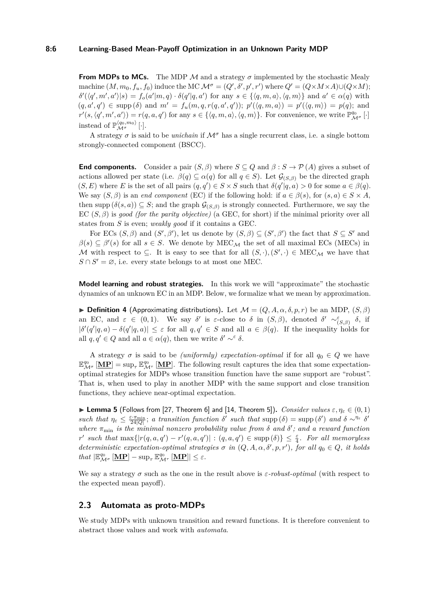#### **8:6 Learning-Based Mean-Payoff Optimization in an Unknown Parity MDP**

**From MDPs to MCs.** The MDP  $\mathcal M$  and a strategy  $\sigma$  implemented by the stochastic Mealy machine  $(M, m_0, f_u, f_0)$  induce the MC  $\mathcal{M}^{\sigma} = (Q', \delta', p', r')$  where  $Q' = (Q \times M \times A) \cup (Q \times M)$ ;  $\delta'(\langle q',m',a'\rangle|s) = f_o(a'|m,q) \cdot \delta(q'|q,a')$  for any  $s \in \{\langle q,m,a\rangle, \langle q,m\rangle\}$  and  $a' \in \alpha(q)$  with  $(q, a', q') \in \text{supp}(\delta) \text{ and } m' = f_u(m, q, r(q, a', q')); \ p'(\langle q, m, a \rangle) = p'(\langle q, m \rangle) = p(q); \text{ and }$  $r'(s, \langle q', m', a' \rangle) = r(q, a, q')$  for any  $s \in {\langle q, m, a \rangle, \langle q, m \rangle}.$  For convenience, we write  $\mathbb{P}^{q_0}_{\mathcal{M}^{\sigma}}$  [·] instead of  $\mathbb{P}^{\langle q_0,m_0\rangle}_{\mathcal{M}^\sigma}[\cdot].$ 

A strategy  $\sigma$  is said to be *unichain* if  $\mathcal{M}^{\sigma}$  has a single recurrent class, i.e. a single bottom strongly-connected component (BSCC).

**End components.** Consider a pair  $(S, \beta)$  where  $S \subseteq Q$  and  $\beta : S \rightarrow \mathcal{P}(A)$  gives a subset of actions allowed per state (i.e.  $\beta(q) \subseteq \alpha(q)$  for all  $q \in S$ ). Let  $\mathcal{G}_{(S,\beta)}$  be the directed graph  $(S, E)$  where *E* is the set of all pairs  $(q, q') \in S \times S$  such that  $\delta(q' | q, a) > 0$  for some  $a \in \beta(q)$ . We say  $(S, \beta)$  is an *end component* (EC) if the following hold: if  $a \in \beta(s)$ , for  $(s, a) \in S \times A$ , then supp  $(\delta(s, a)) \subseteq S$ ; and the graph  $\mathcal{G}_{(S, \beta)}$  is strongly connected. Furthermore, we say the EC (*S, β*) is *good (for the parity objective)* (a GEC, for short) if the minimal priority over all states from *S* is even; *weakly good* if it contains a GEC.

For ECs  $(S, \beta)$  and  $(S', \beta')$ , let us denote by  $(S, \beta) \subseteq (S', \beta')$  the fact that  $S \subseteq S'$  and  $\beta(s) \subseteq \beta'(s)$  for all  $s \in S$ . We denote by MEC<sub>M</sub> the set of all maximal ECs (MECs) in M with respect to  $\subseteq$ . It is easy to see that for all  $(S, \cdot), (S', \cdot) \in \text{MEC}_{\mathcal{M}}$  we have that  $S \cap S' = \emptyset$ , i.e. every state belongs to at most one MEC.

**Model learning and robust strategies.** In this work we will "approximate" the stochastic dynamics of an unknown EC in an MDP. Below, we formalize what we mean by approximation.

**Definition 4** (Approximating distributions). Let  $\mathcal{M} = (Q, A, \alpha, \delta, p, r)$  be an MDP,  $(S, \beta)$ an EC, and  $\varepsilon \in (0,1)$ . We say  $\delta'$  is  $\varepsilon$ -close to  $\delta$  in  $(S,\beta)$ , denoted  $\delta' \sim_{(S,\beta)}^{\varepsilon} \delta$ , if  $|\delta'(q' | q, a) - \delta(q' | q, a)| \leq \varepsilon$  for all  $q, q' \in S$  and all  $a \in \beta(q)$ . If the inequality holds for all  $q, q' \in Q$  and all  $a \in \alpha(q)$ , then we write  $\delta' \sim^{\varepsilon} \delta$ .

A strategy  $\sigma$  is said to be *(uniformly) expectation-optimal* if for all  $q_0 \in Q$  we have  $\mathbb{E}^{q_0}_{\mathcal{M}^{\sigma}}$   $[\mathbf{MP}] = \sup_{\tau} \mathbb{E}^{q_0}_{\mathcal{M}^{\tau}}$  [MP]. The following result captures the idea that some expectationoptimal strategies for MDPs whose transition function have the same support are "robust". That is, when used to play in another MDP with the same support and close transition functions, they achieve near-optimal expectation.

<span id="page-5-0"></span>**Lemma 5** (Follows from [\[27,](#page-17-9) Theorem 6] and [\[14,](#page-16-9) Theorem 5]). *Consider values*  $\varepsilon, \eta_{\varepsilon} \in (0,1)$  $such$  *that*  $\eta_{\varepsilon} \leq \frac{\varepsilon \cdot \pi_{\min}}{24|Q|}$ ; *a transition function*  $\delta'$  *such that* supp  $(\delta) = \sup(p(\delta'))$  *and*  $\delta \sim^{\eta_{\varepsilon}} \delta'$ *where*  $\pi_{\min}$  *is the minimal nonzero probability value from*  $\delta$  *and*  $\delta'$ ; *and a reward function*  $r'$  such that  $\max\{|r(q, a, q') - r'(q, a, q')| : (q, a, q') \in \text{supp}(\delta)\}\leq \frac{\varepsilon}{4}$ *. For all memoryless*  $deterministic expectation-optimal strategies \sigma in (Q, A, \alpha, \delta', p, r'), for all q_0 \in Q, it holds$  $that \, |\mathbb{E}^{q_0}_{\mathcal{M}^\sigma} [\mathbf{MP}] - \sup_{\tau} \mathbb{E}^{q_0}_{\mathcal{M}^\tau} [\mathbf{MP}]| \leq \varepsilon.$ 

We say a strategy *σ* such as the one in the result above is *ε-robust-optimal* (with respect to the expected mean payoff).

#### **2.3 Automata as proto-MDPs**

We study MDPs with unknown transition and reward functions. It is therefore convenient to abstract those values and work with *automata*.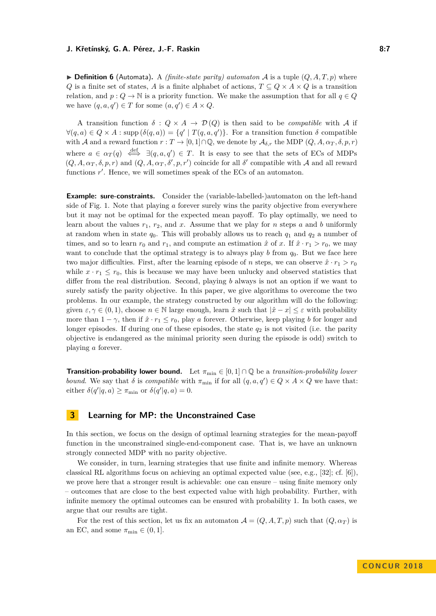$\triangleright$  **Definition 6** (Automata). A *(finite-state parity) automaton* A is a tuple  $(Q, A, T, p)$  where *Q* is a finite set of states, *A* is a finite alphabet of actions,  $T \subseteq Q \times A \times Q$  is a transition relation, and  $p: Q \to \mathbb{N}$  is a priority function. We make the assumption that for all  $q \in Q$ we have  $(q, a, q') \in T$  for some  $(a, q') \in A \times Q$ .

A transition function  $\delta: Q \times A \rightarrow \mathcal{D}(Q)$  is then said to be *compatible* with A if  $\forall (q, a) \in Q \times A : \text{supp}(\delta(q, a)) = \{q' \mid T(q, a, q')\}.$  For a transition function  $\delta$  compatible with A and a reward function  $r : T \to [0,1] \cap \mathbb{Q}$ , we denote by  $\mathcal{A}_{\delta,r}$  the MDP  $(Q, A, \alpha_T, \delta, p, r)$ where  $a \in \alpha_T(q) \iff \exists (q, a, q') \in T$ . It is easy to see that the sets of ECs of MDPs  $(Q, A, \alpha_T, \delta, p, r)$  and  $(Q, A, \alpha_T, \delta', p, r')$  coincide for all  $\delta'$  compatible with A and all reward functions r'. Hence, we will sometimes speak of the ECs of an automaton.

**Example: sure-constraints.** Consider the (variable-labelled-)automaton on the left-hand side of Fig. [1.](#page-2-0) Note that playing *a* forever surely wins the parity objective from everywhere but it may not be optimal for the expected mean payoff. To play optimally, we need to learn about the values  $r_1$ ,  $r_2$ , and  $x$ . Assume that we play for  $n$  steps  $a$  and  $b$  uniformly at random when in state  $q_0$ . This will probably allows us to reach  $q_1$  and  $q_2$  a number of times, and so to learn  $r_0$  and  $r_1$ , and compute an estimation  $\hat{x}$  of x. If  $\hat{x} \cdot r_1 > r_0$ , we may want to conclude that the optimal strategy is to always play  $b$  from  $q_0$ . But we face here two major difficulties. First, after the learning episode of *n* steps, we can observe  $\hat{x} \cdot r_1 > r_0$ while  $x \cdot r_1 \leq r_0$ , this is because we may have been unlucky and observed statistics that differ from the real distribution. Second, playing *b* always is not an option if we want to surely satisfy the parity objective. In this paper, we give algorithms to overcome the two problems. In our example, the strategy constructed by our algorithm will do the following: given  $\varepsilon, \gamma \in (0, 1)$ , choose  $n \in \mathbb{N}$  large enough, learn  $\hat{x}$  such that  $|\hat{x} - x| \leq \varepsilon$  with probability more than  $1 - \gamma$ , then if  $\hat{x} \cdot r_1 \leq r_0$ , play *a* forever. Otherwise, keep playing *b* for longer and longer episodes. If during one of these episodes, the state *q*<sup>2</sup> is not visited (i.e. the parity objective is endangered as the minimal priority seen during the episode is odd) switch to playing *a* forever.

**Transition-probability lower bound.** Let  $\pi_{\min} \in [0,1] \cap \mathbb{Q}$  be a *transition-probability lower bound*. We say that  $\delta$  is *compatible* with  $\pi_{\min}$  if for all  $(q, a, q') \in Q \times A \times Q$  we have that: either  $\delta(q' | q, a) \geq \pi_{\min}$  or  $\delta(q' | q, a) = 0$ .

## <span id="page-6-0"></span>**3 Learning for MP: the Unconstrained Case**

In this section, we focus on the design of optimal learning strategies for the mean-payoff function in the unconstrained single-end-component case. That is, we have an unknown strongly connected MDP with no parity objective.

We consider, in turn, learning strategies that use finite and infinite memory. Whereas classical RL algorithms focus on achieving an optimal expected value (see, e.g., [\[32\]](#page-17-2); cf. [\[6\]](#page-15-8)), we prove here that a stronger result is achievable: one can ensure – using finite memory only – outcomes that are close to the best expected value with high probability. Further, with infinite memory the optimal outcomes can be ensured with probability 1. In both cases, we argue that our results are tight.

For the rest of this section, let us fix an automaton  $\mathcal{A} = (Q, A, T, p)$  such that  $(Q, \alpha_T)$  is an EC, and some  $\pi_{\min} \in (0,1]$ .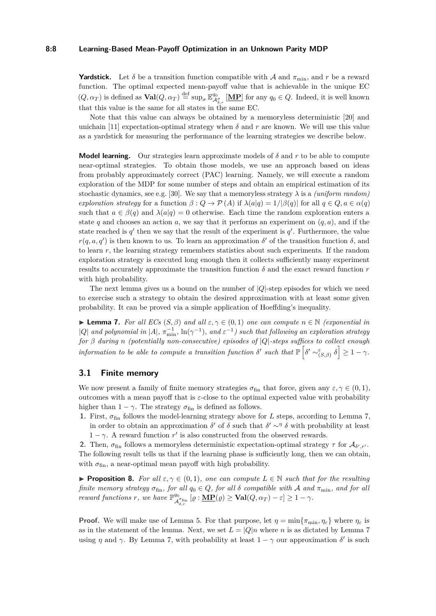#### **8:8 Learning-Based Mean-Payoff Optimization in an Unknown Parity MDP**

**Yardstick.** Let  $\delta$  be a transition function compatible with A and  $\pi_{\min}$ , and r be a reward function. The optimal expected mean-payoff value that is achievable in the unique EC  $(Q, \alpha_T)$  is defined as  $\text{Val}(Q, \alpha_T) \stackrel{\text{def}}{=} \sup_{\sigma} \mathbb{E}^{q_0}_{\mathcal{A}^{\sigma}_{\delta,r}} [\underline{\mathbf{MP}}]$  for any  $q_0 \in Q$ . Indeed, it is well known that this value is the same for all states in the same EC.

Note that this value can always be obtained by a memoryless deterministic [\[20\]](#page-16-10) and unichain [\[11\]](#page-15-2) expectation-optimal strategy when  $\delta$  and  $r$  are known. We will use this value as a yardstick for measuring the performance of the learning strategies we describe below.

**Model learning.** Our strategies learn approximate models of  $\delta$  and  $r$  to be able to compute near-optimal strategies. To obtain those models, we use an approach based on ideas from probably approximately correct (PAC) learning. Namely, we will execute a random exploration of the MDP for some number of steps and obtain an empirical estimation of its stochastic dynamics, see e.g. [\[30\]](#page-17-10). We say that a memoryless strategy  $\lambda$  is a *(uniform random) exploration strategy* for a function  $β : Q → P(A)$  if  $λ(a|q) = 1/β(q)$  for all  $q ∈ Q, a ∈ α(q)$ such that  $a \in \beta(q)$  and  $\lambda(a|q) = 0$  otherwise. Each time the random exploration enters a state  $q$  and chooses an action  $a$ , we say that it performs an experiment on  $(q, a)$ , and if the state reached is  $q'$  then we say that the result of the experiment is  $q'$ . Furthermore, the value *r*(*q*, *a*, *q*') is then known to us. To learn an approximation  $\delta'$  of the transition function  $\delta$ , and to learn *r*, the learning strategy remembers statistics about such experiments. If the random exploration strategy is executed long enough then it collects sufficiently many experiment results to accurately approximate the transition function  $\delta$  and the exact reward function  $r$ with high probability.

The next lemma gives us a bound on the number of |*Q*|-step episodes for which we need to exercise such a strategy to obtain the desired approximation with at least some given probability. It can be proved via a simple application of Hoeffding's inequality.

<span id="page-7-0"></span> $\blacktriangleright$  **Lemma 7.** *For all ECs* (*S, β*) *and all*  $\varepsilon, \gamma \in (0,1)$  *one can compute*  $n \in \mathbb{N}$  *(exponential in*  $|Q|$  *and polynomial in*  $|A|$ ,  $\pi_{\min}^{-1}$ ,  $\ln(\gamma^{-1})$ , and  $\varepsilon^{-1}$ ) such that following an exploration strategy *for β during n (potentially non-consecutive) episodes of* |*Q*|*-steps suffices to collect enough*  $information to be able to compute a transition function  $\delta'$  such that  $\mathbb{P}\left[\delta' \sim_{(S,\beta)}^{\varepsilon} \delta\right] \geq 1 - \gamma$ .$ 

### <span id="page-7-1"></span>**3.1 Finite memory**

We now present a family of finite memory strategies  $\sigma_{fin}$  that force, given any  $\varepsilon, \gamma \in (0, 1)$ , outcomes with a mean payoff that is *ε*-close to the optimal expected value with probability higher than  $1 - \gamma$ . The strategy  $\sigma_{fin}$  is defined as follows.

- **1.** First,  $\sigma_{fin}$  follows the model-learning strategy above for *L* steps, according to Lemma [7,](#page-7-0) in order to obtain an approximation  $\delta'$  of  $\delta$  such that  $\delta' \sim^{\eta} \delta$  with probability at least
	- $1 \gamma$ . A reward function *r'* is also constructed from the observed rewards.

**2.** Then,  $\sigma_{fin}$  follows a memoryless deterministic expectation-optimal strategy  $\tau$  for  $\mathcal{A}_{\delta',r'}$ . The following result tells us that if the learning phase is sufficiently long, then we can obtain, with  $\sigma_{fin}$ , a near-optimal mean payoff with high probability.

**Proposition 8.** For all  $\varepsilon, \gamma \in (0,1)$ , one can compute  $L \in \mathbb{N}$  such that for the resulting *finite memory strategy*  $\sigma_{fin}$ *, for all*  $q_0 \in Q$ *, for all*  $\delta$  *compatible with* A *and*  $\pi_{min}$ *, and for all reward functions r, we have*  $\mathbb{P}^{q_0}_{A}$  $\frac{\mathcal{A}^{g_0}_{\delta,r}}{\mathcal{A}^{g_{\text{fin}}}_{\delta,r}} \left[ \varrho : \underline{\mathbf{MP}}(\varrho) \geq \mathbf{Val}(Q, \alpha_T) - \varepsilon \right] \geq 1 - \gamma.$ 

**Proof.** We will make use of Lemma [5.](#page-5-0) For that purpose, let  $\eta = \min{\lbrace \pi_{\min}, \eta_{\varepsilon} \rbrace}$  where  $\eta_{\varepsilon}$  is as in the statement of the lemma. Next, we set  $L = |Q|n$  where *n* is as dictated by Lemma [7](#page-7-0) using *η* and  $\gamma$ . By Lemma [7,](#page-7-0) with probability at least  $1 - \gamma$  our approximation  $\delta'$  is such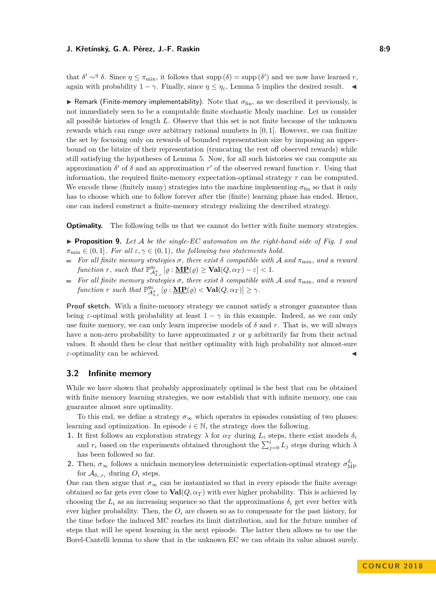that  $\delta' \sim^{\eta} \delta$ . Since  $\eta \leq \pi_{\min}$ , it follows that supp  $(\delta) = \sup p(\delta')$  and we now have learned *r*, again with probability  $1 - \gamma$ . Finally, since  $\eta \leq \eta_{\varepsilon}$ , Lemma [5](#page-5-0) implies the desired result.

**I** Remark (Finite-memory implementability). Note that  $\sigma_{fin}$ , as we described it previously, is not immediately seen to be a computable finite stochastic Mealy machine. Let us consider all possible histories of length *L*. Observe that this set is not finite because of the unknown rewards which can range over arbitrary rational numbers in [0*,* 1]. However, we can finitize the set by focusing only on rewards of bounded representation size by imposing an upperbound on the bitsize of their representation (truncating the rest off observed rewards) while still satisfying the hypotheses of Lemma [5.](#page-5-0) Now, for all such histories we can compute an approximation  $\delta'$  of  $\delta$  and an approximation  $r'$  of the observed reward function r. Using that information, the required finite-memory expectation-optimal strategy *τ* can be computed. We encode these (finitely many) strategies into the machine implementing  $\sigma_{fin}$  so that it only has to choose which one to follow forever after the (finite) learning phase has ended. Hence, one can indeed construct a finite-memory strategy realizing the described strategy.

**Optimality.** The following tells us that we cannot do better with finite memory strategies.

**Proposition 9.** Let A be the single-EC automaton on the right-hand side of Fig. [1](#page-2-0) and  $\pi_{\min} \in (0,1]$ *. For all*  $\varepsilon, \gamma \in (0,1)$ *, the following two statements hold.* 

- *For all finite memory strategies*  $\sigma$ , there exist  $\delta$  compatible with A and  $\pi_{\min}$ , and a reward  $f$ *unction*  $r$ *, such that*  $\mathbb{P}^{q_0}_{\mathcal{A}^s_{\delta,r}}$   $[\varrho : \underline{\mathbf{MP}}(\varrho) \geq \mathbf{Val}(Q, \alpha_T) - \varepsilon] < 1$ *.*
- **For all finite memory strategies**  $\sigma$ , there exist  $\delta$  compatible with A and  $\pi_{\min}$ , and a reward  $f$ *unction*  $r$  *such that*  $\mathbb{P}^{q_0}_{\mathcal{A}^{\sigma}_{\delta,r}}$   $[\varrho : \underline{\mathbf{MP}}(\varrho) < \mathbf{Val}(Q, \alpha_T)] \geq \gamma$ .

**Proof sketch.** With a finite-memory strategy we cannot satisfy a stronger guarantee than being *ε*-optimal with probability at least  $1 - \gamma$  in this example. Indeed, as we can only use finite memory, we can only learn imprecise models of  $\delta$  and  $r$ . That is, we will always have a non-zero probability to have approximated *x* or *y* arbitrarily far from their actual values. It should then be clear that neither optimality with high probability nor almost-sure  $\varepsilon$ -optimality can be achieved.

## **3.2 Infinite memory**

While we have shown that probably approximately optimal is the best that can be obtained with finite memory learning strategies, we now establish that with infinite memory, one can guarantee almost sure optimality.

To this end, we define a strategy  $\sigma_{\infty}$  which operates in episodes consisting of two phases: learning and optimization. In episode  $i \in \mathbb{N}$ , the strategy does the following.

- **1.** It first follows an exploration strategy  $\lambda$  for  $\alpha_T$  during  $L_i$  steps, there exist models  $\delta_i$ and  $r_i$  based on the experiments obtained throughout the  $\sum_{j=0}^{i} L_j$  steps during which  $\lambda$ has been followed so far.
- **2.** Then,  $\sigma_{\infty}$  follows a unichain memoryless deterministic expectation-optimal strategy  $\sigma_{\text{MP}}^{\delta_i}$ for  $\mathcal{A}_{\delta_i,r_i}$  during  $O_i$  steps.

One can then argue that  $\sigma_{\infty}$  can be instantiated so that in every episode the finite average obtained so far gets ever close to  $\text{Val}(Q, \alpha_T)$  with ever higher probability. This is achieved by choosing the  $L_i$  as an increasing sequence so that the approximations  $\delta_i$  get ever better with ever higher probability. Then, the  $O_i$  are chosen so as to compensate for the past history, for the time before the induced MC reaches its limit distribution, and for the future number of steps that will be spent learning in the next episode. The latter then allows us to use the Borel-Cantelli lemma to show that in the unknown EC we can obtain its value almost surely.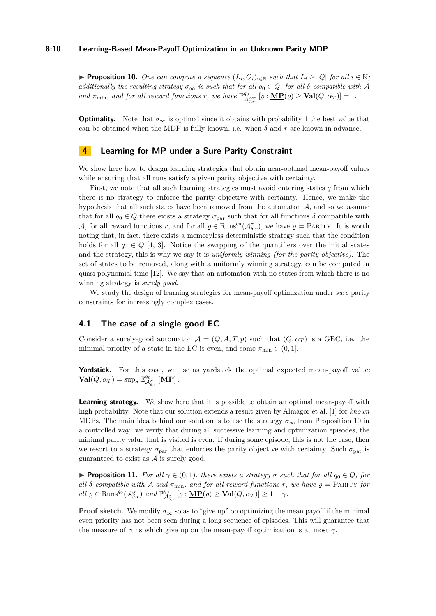#### **8:10 Learning-Based Mean-Payoff Optimization in an Unknown Parity MDP**

<span id="page-9-1"></span>▶ **Proposition 10.** One can compute a sequence  $(L_i, O_i)_{i \in \mathbb{N}}$  such that  $L_i \geq |Q|$  for all  $i \in \mathbb{N}$ ; *additionally the resulting strategy*  $\sigma_{\infty}$  *is such that for all*  $q_0 \in Q$ *, for all*  $\delta$  *compatible with* A *and*  $\pi_{\min}$ *, and for all reward functions r, we have*  $\mathbb{P}^{q_0}_{\mathcal{A}^{\sigma}_{\delta,r}}$  [ $\varrho : \underline{\textbf{MP}}(\varrho) \geq \textbf{Val}(Q, \alpha_T)$ ] = 1.

**Optimality.** Note that  $\sigma_{\infty}$  is optimal since it obtains with probability 1 the best value that can be obtained when the MDP is fully known, i.e. when  $\delta$  and  $r$  are known in advance.

## **4 Learning for MP under a Sure Parity Constraint**

We show here how to design learning strategies that obtain near-optimal mean-payoff values while ensuring that all runs satisfy a given parity objective with certainty.

First, we note that all such learning strategies must avoid entering states *q* from which there is no strategy to enforce the parity objective with certainty. Hence, we make the hypothesis that all such states have been removed from the automaton  $A$ , and so we assume that for all  $q_0 \in Q$  there exists a strategy  $\sigma_{\text{par}}$  such that for all functions  $\delta$  compatible with A, for all reward functions r, and for all  $\rho \in \text{Runs}^{q_0}(\mathcal{A}_{\delta,r}^{\sigma})$ , we have  $\rho \models$  PARITY. It is worth noting that, in fact, there exists a memoryless deterministic strategy such that the condition holds for all  $q_0 \in Q$  [\[4,](#page-15-0) [3\]](#page-15-9). Notice the swapping of the quantifiers over the initial states and the strategy, this is why we say it is *uniformly winning (for the parity objective)*. The set of states to be removed, along with a uniformly winning strategy, can be computed in quasi-polynomial time [\[12\]](#page-15-10). We say that an automaton with no states from which there is no winning strategy is *surely good*.

We study the design of learning strategies for mean-payoff optimization under *sure* parity constraints for increasingly complex cases.

## **4.1 The case of a single good EC**

Consider a surely-good automaton  $\mathcal{A} = (Q, A, T, p)$  such that  $(Q, \alpha_T)$  is a GEC, i.e. the minimal priority of a state in the EC is even, and some  $\pi_{\min} \in (0, 1]$ .

Yardstick. For this case, we use as yardstick the optimal expected mean-payoff value:  $\text{Val}(Q, \alpha_T) = \sup_{\sigma} \mathbb{E}^{q_0}_{\mathcal{A}^{\sigma}_{\delta,r}} [\underline{\mathbf{MP}}]$ .

**Learning strategy.** We show here that it is possible to obtain an optimal mean-payoff with high probability. Note that our solution extends a result given by Almagor et al. [\[1\]](#page-15-4) for *known* MDPs. The main idea behind our solution is to use the strategy  $\sigma_{\infty}$  from Proposition [10](#page-9-1) in a controlled way: we verify that during all successive learning and optimization episodes, the minimal parity value that is visited is even. If during some episode, this is not the case, then we resort to a strategy  $\sigma_{\text{par}}$  that enforces the parity objective with certainty. Such  $\sigma_{\text{par}}$  is guaranteed to exist as  $A$  is surely good.

<span id="page-9-0"></span>**Proposition 11.** *For all*  $\gamma \in (0,1)$ *, there exists a strategy*  $\sigma$  *such that for all*  $q_0 \in Q$ *, for all*  $\delta$  *compatible with*  $\mathcal{A}$  *and*  $\pi_{\min}$ *, and for all reward functions*  $r$ *, we have*  $\rho \models$  PARITY *for*  $all \varrho \in \text{Runs}^{q_0}(\mathcal{A}_{\delta,r}^{\sigma}) \text{ and } \mathbb{P}^{q_0}_{\mathcal{A}_{\delta,r}^{\sigma}}[\varrho:\underline{\mathbf{MP}}(\varrho) \geq \textbf{Val}(Q,\alpha_T)] \geq 1 - \gamma.$ 

**Proof sketch.** We modify  $\sigma_{\infty}$  so as to "give up" on optimizing the mean payoff if the minimal even priority has not been seen during a long sequence of episodes. This will guarantee that the measure of runs which give up on the mean-payoff optimization is at most  $\gamma$ .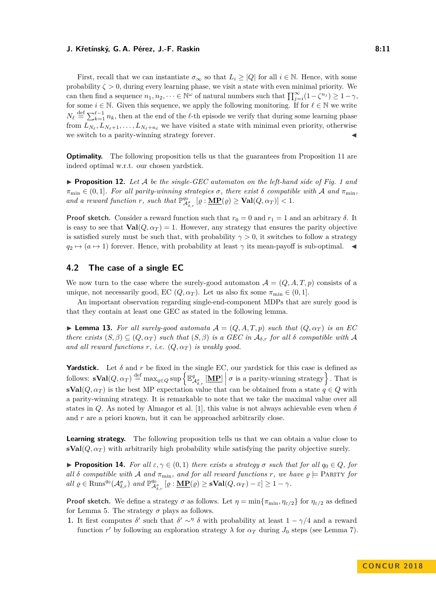#### **J. Křetínský, G. A. Pérez, J.-F. Raskin 8:11** (1995) 8:11

First, recall that we can instantiate  $\sigma_{\infty}$  so that  $L_i \ge |Q|$  for all  $i \in \mathbb{N}$ . Hence, with some probability  $\zeta > 0$ , during every learning phase, we visit a state with even minimal priority. We can then find a sequence  $n_1, n_2, \dots \in \mathbb{N}^\omega$  of natural numbers such that  $\prod_{j=i}^\infty (1-\zeta^{n_j}) \geq 1-\gamma$ , for some  $i \in \mathbb{N}$ . Given this sequence, we apply the following monitoring. If for  $\ell \in \mathbb{N}$  we write  $N_{\ell} \stackrel{\text{def}}{=} \sum_{k=1}^{\ell-1} n_k$ , then at the end of the  $\ell$ -th episode we verify that during some learning phase from  $L_{N_{\ell}}, L_{N_{\ell}+1}, \ldots, L_{N_{\ell}+n_{\ell}}$  we have visited a state with minimal even priority, otherwise we switch to a parity-winning strategy forever.

**Optimality.** The following proposition tells us that the guarantees from Proposition [11](#page-9-0) are indeed optimal w.r.t. our chosen yardstick.

**Proposition [1](#page-2-0)2.** Let  $A$  be the single-GEC automaton on the left-hand side of Fig. 1 and  $\pi_{\min} \in (0,1]$ *. For all parity-winning strategies*  $\sigma$ *, there exist*  $\delta$  *compatible with*  $\mathcal A$  *and*  $\pi_{\min}$ *, and a reward function r, such that*  $\mathbb{P}^{q_0}_{\mathcal{A}^{\sigma}_{\delta,r}}[\varrho : \underline{\mathbf{MP}}(\varrho) \geq \mathbf{Val}(Q, \alpha_T)] < 1$ .

**Proof sketch.** Consider a reward function such that  $r_0 = 0$  and  $r_1 = 1$  and an arbitrary  $\delta$ . It is easy to see that  $\text{Val}(Q, \alpha_T) = 1$ . However, any strategy that ensures the parity objective is satisfied surely must be such that, with probability  $\gamma > 0$ , it switches to follow a strategy  $q_2 \mapsto (a \mapsto 1)$  forever. Hence, with probability at least  $\gamma$  its mean-payoff is sub-optimal.

## **4.2 The case of a single EC**

We now turn to the case where the surely-good automaton  $\mathcal{A} = (Q, A, T, p)$  consists of a unique, not necessarily good, EC  $(Q, \alpha_T)$ . Let us also fix some  $\pi_{\min} \in (0, 1]$ .

An important observation regarding single-end-component MDPs that are surely good is that they contain at least one GEC as stated in the following lemma.

<span id="page-10-1"></span>**I Lemma 13.** For all surely-good automata  $A = (Q, A, T, p)$  such that  $(Q, \alpha_T)$  is an EC *there exists*  $(S, \beta) \subseteq (Q, \alpha_T)$  *such that*  $(S, \beta)$  *is a GEC in*  $\mathcal{A}_{\delta,r}$  *for all*  $\delta$  *compatible with*  $\mathcal{A}$ and all reward functions  $r$ , i.e.  $(Q, \alpha_T)$  is weakly good.

**Yardstick.** Let  $\delta$  and  $r$  be fixed in the single EC, our yardstick for this case is defined as follows:  $\mathbf{sVal}(Q, \alpha_T) \stackrel{\text{def}}{=} \max_{q \in Q} \sup \left\{ \mathbb{E}^q_{\mathcal{A}^\sigma_{\delta,r}} \left[ \underline{\mathbf{MP}} \right] \middle| \sigma \text{ is a parity-vinning strategy} \right\}.$  That is **sVal**( $Q, \alpha_T$ ) is the best MP expectation value that can be obtained from a state  $q \in Q$  with a parity-winning strategy. It is remarkable to note that we take the maximal value over all states in *Q*. As noted by Almagor et al. [\[1\]](#page-15-4), this value is not always achievable even when *δ* and *r* are a priori known, but it can be approached arbitrarily close.

**Learning strategy.** The following proposition tells us that we can obtain a value close to  $\mathbf{sVal}(Q, \alpha_T)$  with arbitrarily high probability while satisfying the parity objective surely.

<span id="page-10-0"></span>**Proposition 14.** *For all*  $\varepsilon, \gamma \in (0,1)$  *there exists a strategy*  $\sigma$  *such that for all*  $q_0 \in Q$ *, for all*  $\delta$  *compatible with*  $\mathcal A$  *and*  $\pi_{\min}$ *, and for all reward functions*  $r$ *, we have*  $\rho \models$  PARITY *for*  $all \varrho \in \text{Runs}^{q_0}(\mathcal{A}^{\sigma}_{\delta,r}) \text{ and } \mathbb{P}^{q_0}_{\mathcal{A}^{\sigma}_{\delta,r}} [\varrho : \underline{\mathbf{MP}}(\varrho) \geq \mathbf{sVal}(Q, \alpha_T) - \varepsilon] \geq 1 - \gamma.$ 

**Proof sketch.** We define a strategy  $\sigma$  as follows. Let  $\eta = \min\{\pi_{\min}, \eta_{\varepsilon/2}\}\$  for  $\eta_{\varepsilon/2}$  as defined for Lemma [5.](#page-5-0) The strategy  $\sigma$  plays as follows.

**1.** It first computes  $\delta'$  such that  $\delta' \sim^{\eta} \delta$  with probability at least  $1 - \gamma/4$  and a reward function *r'* by following an exploration strategy  $\lambda$  for  $\alpha_T$  during  $J_0$  steps (see Lemma [7\)](#page-7-0).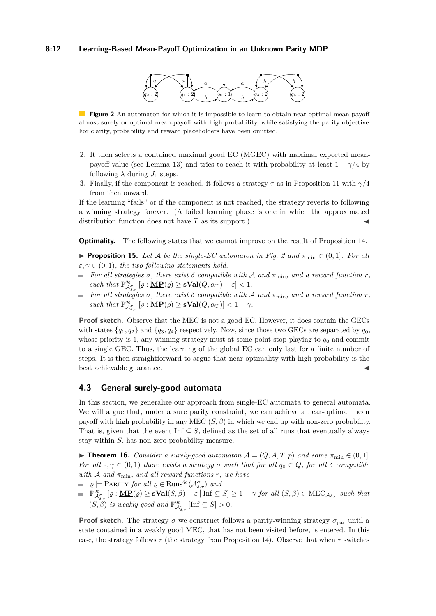#### <span id="page-11-1"></span>**8:12 Learning-Based Mean-Payoff Optimization in an Unknown Parity MDP**



**Figure 2** An automaton for which it is impossible to learn to obtain near-optimal mean-payoff almost surely or optimal mean-payoff with high probability, while satisfying the parity objective. For clarity, probability and reward placeholders have been omitted.

- **2.** It then selects a contained maximal good EC (MGEC) with maximal expected mean-payoff value (see Lemma [13\)](#page-10-1) and tries to reach it with probability at least  $1 - \gamma/4$  by following  $\lambda$  during  $J_1$  steps.
- **3.** Finally, if the component is reached, it follows a strategy *τ* as in Proposition [11](#page-9-0) with *γ/*4 from then onward.

If the learning "fails" or if the component is not reached, the strategy reverts to following a winning strategy forever. (A failed learning phase is one in which the approximated distribution function does not have  $T$  as its support.)

**Optimality.** The following states that we cannot improve on the result of Proposition [14.](#page-10-0)

- <span id="page-11-2"></span>**► Proposition 15.** Let A be the single-EC automaton in Fig. [2](#page-11-1) and  $\pi_{\min} \in (0,1]$ . For all  $\varepsilon, \gamma \in (0, 1)$ *, the two following statements hold.*
- *For all strategies*  $\sigma$ *, there exist*  $\delta$  *compatible with*  $\mathcal{A}$  *and*  $\pi_{\min}$ *, and*  $\alpha$  *reward function*  $r$ *,*  $such that \mathbb{P}^{q_0}_{\mathcal{A}^{\sigma}_{\delta,r}}[\varrho:\mathbf{\underline{MP}}(\varrho)\geq \mathbf{sVal}(Q,\alpha_T)-\varepsilon]<1.$
- *For all strategies*  $\sigma$ *, there exist*  $\delta$  *compatible with*  $\mathcal A$  *and*  $\pi_{\min}$ *, and a reward function*  $r$ *, such that*  $\mathbb{P}^{q_0}_{\mathcal{A}^{\sigma}_{\delta,r}} [\varrho : \underline{\mathbf{MP}}(\varrho) \geq \mathbf{sVal}(Q, \alpha_T)] < 1 - \gamma$ .

Proof sketch. Observe that the MEC is not a good EC. However, it does contain the GECs with states  $\{q_1, q_2\}$  and  $\{q_3, q_4\}$  respectively. Now, since those two GECs are separated by  $q_0$ , whose priority is 1, any winning strategy must at some point stop playing to  $q_0$  and commit to a single GEC. Thus, the learning of the global EC can only last for a finite number of steps. It is then straightforward to argue that near-optimality with high-probability is the best achievable guarantee.

## <span id="page-11-3"></span>**4.3 General surely-good automata**

In this section, we generalize our approach from single-EC automata to general automata. We will argue that, under a sure parity constraint, we can achieve a near-optimal mean payoff with high probability in any MEC  $(S, \beta)$  in which we end up with non-zero probability. That is, given that the event Inf  $\subseteq S$ , defined as the set of all runs that eventually always stay within *S*, has non-zero probability measure.

<span id="page-11-0"></span>**► Theorem 16.** Consider a surely-good automaton  $A = (Q, A, T, p)$  and some  $\pi_{\min} \in (0, 1]$ . *For all*  $\varepsilon, \gamma \in (0,1)$  *there exists a strategy*  $\sigma$  *such that for all*  $q_0 \in Q$ *, for all*  $\delta$  *compatible with*  $A$  *and*  $\pi_{\min}$ *, and all reward functions*  $r$ *, we have* 

- $\varrho \models$  PARITY *for all*  $\varrho \in \text{Runs}^{q_0}(\mathcal{A}^{\sigma}_{\delta,r})$  *and*
- $\mathbb{P}^{q_0}_{\mathcal{A}^{\sigma}_{\delta,r}}\left[\varrho:\underline{\mathbf{MP}}(\varrho)\geq \mathbf{sVal}(S,\beta)-\varepsilon\right] \text{Inf}\subseteq S]\geq 1-\gamma \text{ for all }(S,\beta)\in \text{MEC}_{\mathcal{A}_{\delta,r}} \text{ such that }$  $(S, \beta)$  *is weakly good and*  $\mathbb{P}^{q_0}_{\mathcal{A}^{\sigma}_{\delta,r}}$  [Inf  $\subseteq S$ ] > 0*.*

**Proof sketch.** The strategy  $\sigma$  we construct follows a parity-winning strategy  $\sigma_{\text{par}}$  until a state contained in a weakly good MEC, that has not been visited before, is entered. In this case, the strategy follows  $\tau$  (the strategy from Proposition [14\)](#page-10-0). Observe that when  $\tau$  switches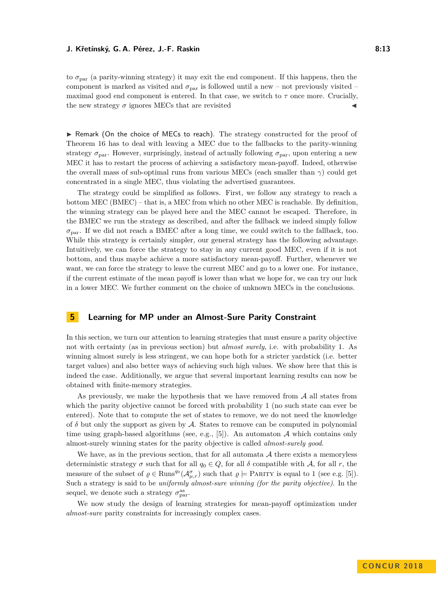to  $\sigma_{\text{par}}$  (a parity-winning strategy) it may exit the end component. If this happens, then the component is marked as visited and  $\sigma_{\text{par}}$  is followed until a new – not previously visited – maximal good end component is entered. In that case, we switch to  $\tau$  once more. Crucially, the new strategy  $\sigma$  ignores MECs that are revisited

 $\triangleright$  Remark (On the choice of MECs to reach). The strategy constructed for the proof of Theorem [16](#page-11-0) has to deal with leaving a MEC due to the fallbacks to the parity-winning strategy  $\sigma_{\text{par}}$ . However, surprisingly, instead of actually following  $\sigma_{\text{par}}$ , upon entering a new MEC it has to restart the process of achieving a satisfactory mean-payoff. Indeed, otherwise the overall mass of sub-optimal runs from various MECs (each smaller than *γ*) could get concentrated in a single MEC, thus violating the advertised guarantees.

The strategy could be simplified as follows. First, we follow any strategy to reach a bottom MEC (BMEC) – that is, a MEC from which no other MEC is reachable. By definition, the winning strategy can be played here and the MEC cannot be escaped. Therefore, in the BMEC we run the strategy as described, and after the fallback we indeed simply follow  $\sigma_{\text{par}}$ . If we did not reach a BMEC after a long time, we could switch to the fallback, too. While this strategy is certainly simpler, our general strategy has the following advantage. Intuitively, we can force the strategy to stay in any current good MEC, even if it is not bottom, and thus maybe achieve a more satisfactory mean-payoff. Further, whenever we want, we can force the strategy to leave the current MEC and go to a lower one. For instance, if the current estimate of the mean payoff is lower than what we hope for, we can try our luck in a lower MEC. We further comment on the choice of unknown MECs in the conclusions.

# **5 Learning for MP under an Almost-Sure Parity Constraint**

In this section, we turn our attention to learning strategies that must ensure a parity objective not with certainty (as in previous section) but *almost surely*, i.e. with probability 1. As winning almost surely is less stringent, we can hope both for a stricter yardstick (i.e. better target values) and also better ways of achieving such high values. We show here that this is indeed the case. Additionally, we argue that several important learning results can now be obtained with finite-memory strategies.

As previously, we make the hypothesis that we have removed from  $A$  all states from which the parity objective cannot be forced with probability 1 (no such state can ever be entered). Note that to compute the set of states to remove, we do not need the knowledge of  $\delta$  but only the support as given by  $\mathcal A$ . States to remove can be computed in polynomial time using graph-based algorithms (see, e.g., [\[5\]](#page-15-11)). An automaton  $A$  which contains only almost-surely winning states for the parity objective is called *almost-surely good*.

We have, as in the previous section, that for all automata  $A$  there exists a memoryless deterministic strategy  $\sigma$  such that for all  $q_0 \in Q$ , for all  $\delta$  compatible with A, for all r, the measure of the subset of  $\rho \in \text{Runs}^{q_0}(\mathcal{A}_{\mu,r}^{\sigma})$  such that  $\rho \models$  PARITY is equal to 1 (see e.g. [\[5\]](#page-15-11)). Such a strategy is said to be *uniformly almost-sure winning (for the parity objective)*. In the sequel, we denote such a strategy  $\sigma_{\text{par}}^{\text{as}}$ .

We now study the design of learning strategies for mean-payoff optimization under *almost-sure* parity constraints for increasingly complex cases.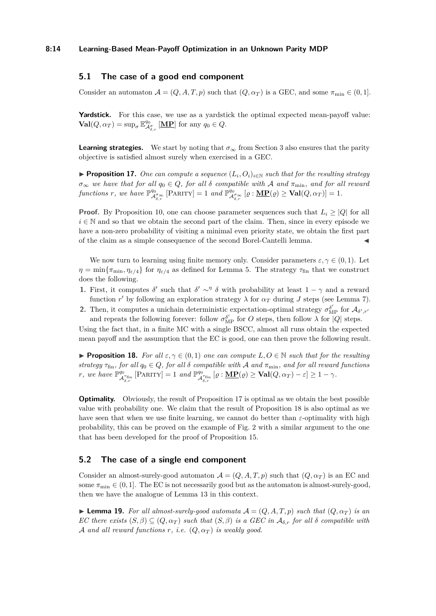## **5.1 The case of a good end component**

Consider an automaton  $\mathcal{A} = (Q, A, T, p)$  such that  $(Q, \alpha_T)$  is a GEC, and some  $\pi_{\min} \in (0, 1]$ .

Yardstick. For this case, we use as a yardstick the optimal expected mean-payoff value:  $\mathbf{Val}(Q, \alpha_T) = \sup_{\sigma} \mathbb{E}^{q_0}_{\mathcal{A}^{\sigma}_{\delta,r}} [\mathbf{MP}]$  for any  $q_0 \in Q$ .

**Learning strategies.** We start by noting that  $\sigma_{\infty}$  from Section [3](#page-6-0) also ensures that the parity objective is satisfied almost surely when exercised in a GEC.

<span id="page-13-0"></span>**Proposition 17.** One can compute a sequence  $(L_i, O_i)_{i \in \mathbb{N}}$  such that for the resulting strategy  $\sigma_{\infty}$  *we have that for all*  $q_0 \in Q$ *, for all*  $\delta$  *compatible with* A *and*  $\pi_{\min}$ *, and for all reward*  $f$ *unctions*  $r$ *, we have*  $\mathbb{P}^{q_0}_{\mathcal{A}^{\sigma}_{\delta,r}}$  [PARITY] = 1 *and*  $\mathbb{P}^{q_0}_{\mathcal{A}^{\sigma}_{\delta,r}}$  [ $\varrho$  :  $\underline{\mathbf{MP}}(\varrho) \geq \mathbf{Val}(Q, \alpha_T)$ ] = 1.

**Proof.** By Proposition [10,](#page-9-1) one can choose parameter sequences such that  $L_i \geq |Q|$  for all  $i \in \mathbb{N}$  and so that we obtain the second part of the claim. Then, since in every episode we have a non-zero probability of visiting a minimal even priority state, we obtain the first part of the claim as a simple consequence of the second Borel-Cantelli lemma. J

We now turn to learning using finite memory only. Consider parameters  $\varepsilon, \gamma \in (0,1)$ . Let  $\eta = \min\{\pi_{\min}, \eta_{\varepsilon/4}\}\$ for  $\eta_{\varepsilon/4}$  as defined for Lemma [5.](#page-5-0) The strategy  $\tau_{\text{fin}}$  that we construct does the following.

- **1.** First, it computes  $\delta'$  such that  $\delta' \sim^{\eta} \delta$  with probability at least  $1 \gamma$  and a reward function  $r'$  by following an exploration strategy  $\lambda$  for  $\alpha_T$  during *J* steps (see Lemma [7\)](#page-7-0).
- **2.** Then, it computes a unichain deterministic expectation-optimal strategy  $\sigma_{\text{MP}}^{\delta'}$  for  $\mathcal{A}_{\delta',r'}$ and repeats the following forever: follow  $\sigma_{\text{MP}}^{\delta'}$  for *O* steps, then follow  $\lambda$  for  $|Q|$  steps.

Using the fact that, in a finite MC with a single BSCC, almost all runs obtain the expected mean payoff and the assumption that the EC is good, one can then prove the following result.

<span id="page-13-1"></span>**Proposition 18.** For all  $\varepsilon, \gamma \in (0,1)$  one can compute  $L, O \in \mathbb{N}$  such that for the resulting *strategy*  $\tau_{fin}$ *, for all*  $q_0 \in Q$ *, for all*  $\delta$  *compatible with* A *and*  $\pi_{min}$ *, and for all reward functions r,* we have  $\mathbb{P}^{q_0}_{\Lambda}$  $\mathcal{A}_{\delta,r}^{q_0}$  [PARITY] = 1 *and*  $\mathbb{P}_{\mathcal{A}}^{q_0}$  $\frac{q_0}{\mathcal{A}_{\delta,r}^{\tau_{\textrm{fin}}}}\left[\varrho:\operatorname{{\bf MP}}(\varrho)\geq \operatorname{{\bf Val}}(Q,\alpha_T)-\varepsilon\right]\geq 1-\gamma.$ 

**Optimality.** Obviously, the result of Proposition [17](#page-13-0) is optimal as we obtain the best possible value with probability one. We claim that the result of Proposition [18](#page-13-1) is also optimal as we have seen that when we use finite learning, we cannot do better than  $\varepsilon$ -optimality with high probability, this can be proved on the example of Fig. [2](#page-11-1) with a similar argument to the one that has been developed for the proof of Proposition [15.](#page-11-2)

## **5.2 The case of a single end component**

Consider an almost-surely-good automaton  $\mathcal{A} = (Q, A, T, p)$  such that  $(Q, \alpha_T)$  is an EC and some  $\pi_{\min} \in (0, 1]$ . The EC is not necessarily good but as the automaton is almost-surely-good, then we have the analogue of Lemma [13](#page-10-1) in this context.

<span id="page-13-2"></span>**I Lemma 19.** For all almost-surely-good automata  $A = (Q, A, T, p)$  such that  $(Q, \alpha_T)$  is an *EC* there exists  $(S, \beta) \subseteq (Q, \alpha_T)$  such that  $(S, \beta)$  is a GEC in  $\mathcal{A}_{\delta,r}$  for all  $\delta$  compatible with A and all reward functions  $r$ , *i.e.*  $(Q, \alpha_T)$  *is weakly good.*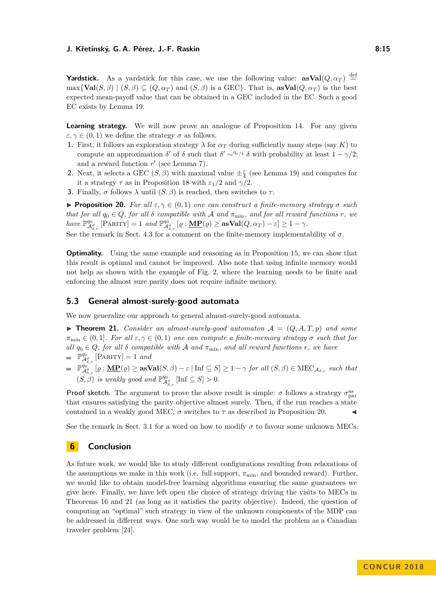**Yardstick.** As a yardstick for this case, we use the following value:  $\textbf{asVal}(Q, \alpha_T) \stackrel{\text{def}}{=}$  $\max{\text{Val}(S, \beta) | (S, \beta) \subseteq (Q, \alpha_T) \text{ and } (S, \beta) \text{ is a GEC}}$ *.* That is,  $\text{asVal}(Q, \alpha_T)$  is the best expected mean-payoff value that can be obtained in a GEC included in the EC. Such a good EC exists by Lemma [19.](#page-13-2)

**Learning strategy.** We will now prove an analogue of Proposition [14.](#page-10-0) For any given  $\varepsilon, \gamma \in (0, 1)$  we define the strategy  $\sigma$  as follows.

- **1.** First, it follows an exploration strategy  $\lambda$  for  $\alpha_T$  during sufficiently many steps (say *K*) to compute an approximation  $\delta'$  of  $\delta$  such that  $\delta' \sim^{\eta_{\varepsilon/4}} \delta$  with probability at least  $1 - \gamma/2$ ; and a reward function  $r'$  (see Lemma [7\)](#page-7-0).
- **2.** Next, it selects a GEC  $(S, \beta)$  with maximal value  $\pm \frac{\varepsilon}{4}$  (see Lemma [19\)](#page-13-2) and computes for it a strategy  $\tau$  as in Proposition [18](#page-13-1) with  $\varepsilon_1/2$  and  $\gamma/2$ .
- **3.** Finally, *σ* follows  $\lambda$  until  $(S, \beta)$  is reached, then switches to *τ*.

<span id="page-14-0"></span>**Proposition 20.** *For all*  $\varepsilon, \gamma \in (0, 1)$  *one can construct a finite-memory strategy*  $\sigma$  *such that for all*  $q_0 \in Q$ *, for all*  $\delta$  *compatible with*  $\mathcal A$  *and*  $\pi_{\min}$ *, and for all reward functions*  $r$ *, we*  $h$ ave  $\mathbb{P}^{q_0}_{\mathcal{A}^{\sigma}_{\mathcal{S},r}}$  [PARITY] = 1 *and*  $\mathbb{P}^{q_0}_{\mathcal{A}^{\sigma}_{\mathcal{S},r}}$  [ $\varrho : \underline{\mathbf{MP}}(\varrho) \ge \mathbf{asVal}(Q, \alpha_T) - \varepsilon$ ]  $\ge 1 - \gamma$ *.* 

See the remark in Sect. [4.3](#page-11-3) for a comment on the finite-memory implementability of  $\sigma$ .

**Optimality.** Using the same example and reasoning as in Proposition [15,](#page-11-2) we can show that this result is optimal and cannot be improved. Also note that using infinite memory would not help as shown with the example of Fig. [2,](#page-11-1) where the learning needs to be finite and enforcing the almost sure parity does not require infinite memory.

## **5.3 General almost-surely-good automata**

We now generalize our approach to general almost-surely-good automata.

<span id="page-14-1"></span> $\triangleright$  **Theorem 21.** *Consider an almost-surely-good automaton*  $\mathcal{A} = (Q, A, T, p)$  *and some*  $\pi_{\min} \in (0,1]$ *. For all*  $\varepsilon, \gamma \in (0,1)$  *one can compute a finite-memory strategy*  $\sigma$  *such that for all*  $q_0 \in Q$ *, for all*  $\delta$  *compatible with*  $\mathcal A$  *and*  $\pi_{\min}$ *, and all reward functions*  $r$ *, we have*  $\mathbb{P}^{q_0}_{\mathcal{A}^{\sigma}_{s,n}}$  [PARITY] = 1 *and* 

 $\mathbb{P}_{\mathcal{A}_{\delta,r}^{\sigma} }^{\mathcal{A}_{\delta,r}}[\varrho:\mathbf{\underline{MP}}(\varrho)\geq \mathbf{asVal}(S,\beta)-\varepsilon\mid \text{Inf}\subseteq S]\geq 1-\gamma \text{ for all }(S,\beta)\in \text{MEC}_{\mathcal{A}_{\delta,r}} \text{ such that }$  $(S, \beta)$  *is weakly good and*  $\mathbb{P}^{q_0}_{\mathcal{A}^{\sigma}_{\delta,r}}$  [Inf  $\subseteq S$ ] > 0*.* 

**Proof sketch.** The argument to prove the above result is simple:  $\sigma$  follows a strategy  $\sigma_{\text{par}}^{\text{as}}$ that ensures satisfying the parity objective almost surely. Then, if the run reaches a state contained in a weakly good MEC,  $\sigma$  switches to  $\tau$  as described in Proposition [20.](#page-14-0)

See the remark in Sect. [3.1](#page-7-1) for a word on how to modify  $\sigma$  to favour some unknown MECs.

# **6 Conclusion**

As future work, we would like to study different configurations resulting from relaxations of the assumptions we make in this work (i.e. full support,  $\pi_{\min}$ , and bounded reward). Further, we would like to obtain model-free learning algorithms ensuring the same guarantees we give here. Finally, we have left open the choice of strategy driving the visits to MECs in Theorems [16](#page-11-0) and [21](#page-14-1) (as long as it satisfies the parity objective). Indeed, the question of computing an "optimal" such strategy in view of the unknown components of the MDP can be addressed in different ways. One such way would be to model the problem as a Canadian traveler problem [\[24\]](#page-17-11).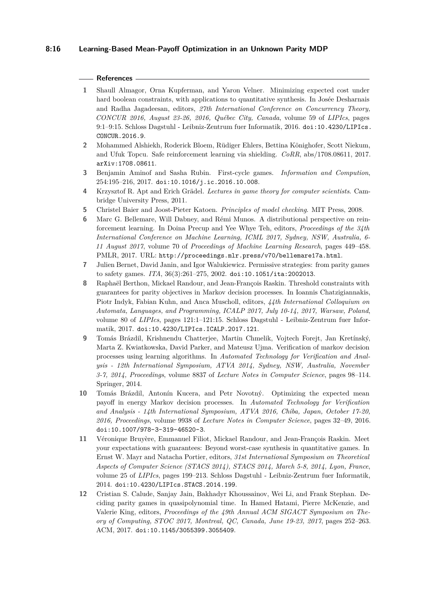## **8:16 Learning-Based Mean-Payoff Optimization in an Unknown Parity MDP**

#### **References**

- <span id="page-15-4"></span>**1** Shaull Almagor, Orna Kupferman, and Yaron Velner. Minimizing expected cost under hard boolean constraints, with applications to quantitative synthesis. In Josée Desharnais and Radha Jagadeesan, editors, *27th International Conference on Concurrency Theory, CONCUR 2016, August 23-26, 2016, Québec City, Canada*, volume 59 of *LIPIcs*, pages 9:1–9:15. Schloss Dagstuhl - Leibniz-Zentrum fuer Informatik, 2016. [doi:10.4230/LIPIcs.](http://dx.doi.org/10.4230/LIPIcs.CONCUR.2016.9) [CONCUR.2016.9](http://dx.doi.org/10.4230/LIPIcs.CONCUR.2016.9).
- <span id="page-15-6"></span>**2** Mohammed Alshiekh, Roderick Bloem, Rüdiger Ehlers, Bettina Könighofer, Scott Niekum, and Ufuk Topcu. Safe reinforcement learning via shielding. *CoRR*, abs/1708.08611, 2017. [arXiv:1708.08611](http://arxiv.org/abs/1708.08611).
- <span id="page-15-9"></span>**3** Benjamin Aminof and Sasha Rubin. First-cycle games. *Information and Compution*, 254:195–216, 2017. [doi:10.1016/j.ic.2016.10.008](http://dx.doi.org/10.1016/j.ic.2016.10.008).
- <span id="page-15-0"></span>**4** Krzysztof R. Apt and Erich Grädel. *Lectures in game theory for computer scientists*. Cambridge University Press, 2011.
- <span id="page-15-11"></span>**5** Christel Baier and Joost-Pieter Katoen. *Principles of model checking*. MIT Press, 2008.
- <span id="page-15-8"></span>**6** Marc G. Bellemare, Will Dabney, and Rémi Munos. A distributional perspective on reinforcement learning. In Doina Precup and Yee Whye Teh, editors, *Proceedings of the 34th International Conference on Machine Learning, ICML 2017, Sydney, NSW, Australia, 6- 11 August 2017*, volume 70 of *Proceedings of Machine Learning Research*, pages 449–458. PMLR, 2017. URL: <http://proceedings.mlr.press/v70/bellemare17a.html>.
- <span id="page-15-7"></span>**7** Julien Bernet, David Janin, and Igor Walukiewicz. Permissive strategies: from parity games to safety games. *ITA*, 36(3):261–275, 2002. [doi:10.1051/ita:2002013](http://dx.doi.org/10.1051/ita:2002013).
- <span id="page-15-3"></span>**8** Raphaël Berthon, Mickael Randour, and Jean-François Raskin. Threshold constraints with guarantees for parity objectives in Markov decision processes. In Ioannis Chatzigiannakis, Piotr Indyk, Fabian Kuhn, and Anca Muscholl, editors, *44th International Colloquium on Automata, Languages, and Programming, ICALP 2017, July 10-14, 2017, Warsaw, Poland*, volume 80 of *LIPIcs*, pages 121:1–121:15. Schloss Dagstuhl - Leibniz-Zentrum fuer Informatik, 2017. [doi:10.4230/LIPIcs.ICALP.2017.121](http://dx.doi.org/10.4230/LIPIcs.ICALP.2017.121).
- <span id="page-15-1"></span>**9** Tomás Brázdil, Krishnendu Chatterjee, Martin Chmelik, Vojtech Forejt, Jan Kretínský, Marta Z. Kwiatkowska, David Parker, and Mateusz Ujma. Verification of markov decision processes using learning algorithms. In *Automated Technology for Verification and Analysis - 12th International Symposium, ATVA 2014, Sydney, NSW, Australia, November 3-7, 2014, Proceedings*, volume 8837 of *Lecture Notes in Computer Science*, pages 98–114. Springer, 2014.
- <span id="page-15-5"></span>**10** Tomás Brázdil, Antonín Kucera, and Petr Novotný. Optimizing the expected mean payoff in energy Markov decision processes. In *Automated Technology for Verification and Analysis - 14th International Symposium, ATVA 2016, Chiba, Japan, October 17-20, 2016, Proceedings*, volume 9938 of *Lecture Notes in Computer Science*, pages 32–49, 2016. [doi:10.1007/978-3-319-46520-3](http://dx.doi.org/10.1007/978-3-319-46520-3).
- <span id="page-15-2"></span>**11** Véronique Bruyère, Emmanuel Filiot, Mickael Randour, and Jean-François Raskin. Meet your expectations with guarantees: Beyond worst-case synthesis in quantitative games. In Ernst W. Mayr and Natacha Portier, editors, *31st International Symposium on Theoretical Aspects of Computer Science (STACS 2014), STACS 2014, March 5-8, 2014, Lyon, France*, volume 25 of *LIPIcs*, pages 199–213. Schloss Dagstuhl - Leibniz-Zentrum fuer Informatik, 2014. [doi:10.4230/LIPIcs.STACS.2014.199](http://dx.doi.org/10.4230/LIPIcs.STACS.2014.199).
- <span id="page-15-10"></span>**12** Cristian S. Calude, Sanjay Jain, Bakhadyr Khoussainov, Wei Li, and Frank Stephan. Deciding parity games in quasipolynomial time. In Hamed Hatami, Pierre McKenzie, and Valerie King, editors, *Proceedings of the 49th Annual ACM SIGACT Symposium on Theory of Computing, STOC 2017, Montreal, QC, Canada, June 19-23, 2017*, pages 252–263. ACM, 2017. [doi:10.1145/3055399.3055409](http://dx.doi.org/10.1145/3055399.3055409).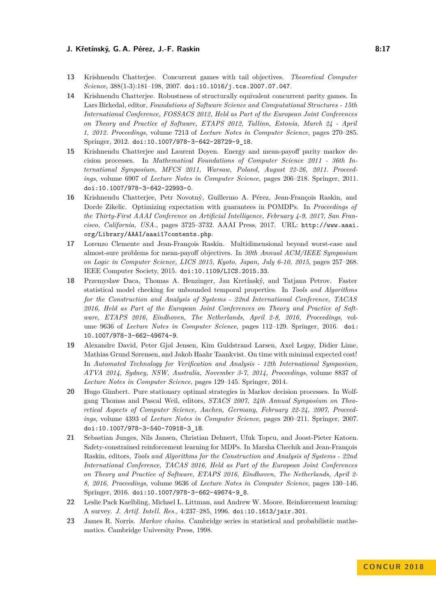- <span id="page-16-8"></span>**13** Krishnendu Chatterjee. Concurrent games with tail objectives. *Theoretical Computer Science*, 388(1-3):181–198, 2007. [doi:10.1016/j.tcs.2007.07.047](http://dx.doi.org/10.1016/j.tcs.2007.07.047).
- <span id="page-16-9"></span>**14** Krishnendu Chatterjee. Robustness of structurally equivalent concurrent parity games. In Lars Birkedal, editor, *Foundations of Software Science and Computational Structures - 15th International Conference, FOSSACS 2012, Held as Part of the European Joint Conferences on Theory and Practice of Software, ETAPS 2012, Tallinn, Estonia, March 24 - April 1, 2012. Proceedings*, volume 7213 of *Lecture Notes in Computer Science*, pages 270–285. Springer, 2012. [doi:10.1007/978-3-642-28729-9\\_18](http://dx.doi.org/10.1007/978-3-642-28729-9_18).
- <span id="page-16-4"></span>**15** Krishnendu Chatterjee and Laurent Doyen. Energy and mean-payoff parity markov decision processes. In *Mathematical Foundations of Computer Science 2011 - 36th International Symposium, MFCS 2011, Warsaw, Poland, August 22-26, 2011. Proceedings*, volume 6907 of *Lecture Notes in Computer Science*, pages 206–218. Springer, 2011. [doi:10.1007/978-3-642-22993-0](http://dx.doi.org/10.1007/978-3-642-22993-0).
- <span id="page-16-3"></span>**16** Krishnendu Chatterjee, Petr Novotný, Guillermo A. Pérez, Jean-François Raskin, and Dorde Zikelic. Optimizing expectation with guarantees in POMDPs. In *Proceedings of the Thirty-First AAAI Conference on Artificial Intelligence, February 4-9, 2017, San Francisco, California, USA.*, pages 3725–3732. AAAI Press, 2017. URL: [http://www.aaai.](http://www.aaai.org/Library/AAAI/aaai17contents.php) [org/Library/AAAI/aaai17contents.php](http://www.aaai.org/Library/AAAI/aaai17contents.php).
- <span id="page-16-2"></span>**17** Lorenzo Clemente and Jean-François Raskin. Multidimensional beyond worst-case and almost-sure problems for mean-payoff objectives. In *30th Annual ACM/IEEE Symposium on Logic in Computer Science, LICS 2015, Kyoto, Japan, July 6-10, 2015*, pages 257–268. IEEE Computer Society, 2015. [doi:10.1109/LICS.2015.33](http://dx.doi.org/10.1109/LICS.2015.33).
- <span id="page-16-1"></span>**18** Przemyslaw Daca, Thomas A. Henzinger, Jan Kretínský, and Tatjana Petrov. Faster statistical model checking for unbounded temporal properties. In *Tools and Algorithms for the Construction and Analysis of Systems - 22nd International Conference, TACAS 2016, Held as Part of the European Joint Conferences on Theory and Practice of Software, ETAPS 2016, Eindhoven, The Netherlands, April 2-8, 2016, Proceedings*, volume 9636 of *Lecture Notes in Computer Science*, pages 112–129. Springer, 2016. [doi:](http://dx.doi.org/10.1007/978-3-662-49674-9) [10.1007/978-3-662-49674-9](http://dx.doi.org/10.1007/978-3-662-49674-9).
- <span id="page-16-5"></span>**19** Alexandre David, Peter Gjøl Jensen, Kim Guldstrand Larsen, Axel Legay, Didier Lime, Mathias Grund Sørensen, and Jakob Haahr Taankvist. On time with minimal expected cost! In *Automated Technology for Verification and Analysis - 12th International Symposium, ATVA 2014, Sydney, NSW, Australia, November 3-7, 2014, Proceedings*, volume 8837 of *Lecture Notes in Computer Science*, pages 129–145. Springer, 2014.
- <span id="page-16-10"></span>**20** Hugo Gimbert. Pure stationary optimal strategies in Markov decision processes. In Wolfgang Thomas and Pascal Weil, editors, *STACS 2007, 24th Annual Symposium on Theoretical Aspects of Computer Science, Aachen, Germany, February 22-24, 2007, Proceedings*, volume 4393 of *Lecture Notes in Computer Science*, pages 200–211. Springer, 2007. [doi:10.1007/978-3-540-70918-3\\_18](http://dx.doi.org/10.1007/978-3-540-70918-3_18).
- <span id="page-16-6"></span>**21** Sebastian Junges, Nils Jansen, Christian Dehnert, Ufuk Topcu, and Joost-Pieter Katoen. Safety-constrained reinforcement learning for MDPs. In Marsha Chechik and Jean-François Raskin, editors, *Tools and Algorithms for the Construction and Analysis of Systems - 22nd International Conference, TACAS 2016, Held as Part of the European Joint Conferences on Theory and Practice of Software, ETAPS 2016, Eindhoven, The Netherlands, April 2- 8, 2016, Proceedings*, volume 9636 of *Lecture Notes in Computer Science*, pages 130–146. Springer, 2016. [doi:10.1007/978-3-662-49674-9\\_8](http://dx.doi.org/10.1007/978-3-662-49674-9_8).
- <span id="page-16-0"></span>**22** Leslie Pack Kaelbling, Michael L. Littman, and Andrew W. Moore. Reinforcement learning: A survey. *J. Artif. Intell. Res.*, 4:237–285, 1996. [doi:10.1613/jair.301](http://dx.doi.org/10.1613/jair.301).
- <span id="page-16-7"></span>**23** James R. Norris. *Markov chains*. Cambridge series in statistical and probabilistic mathematics. Cambridge University Press, 1998.